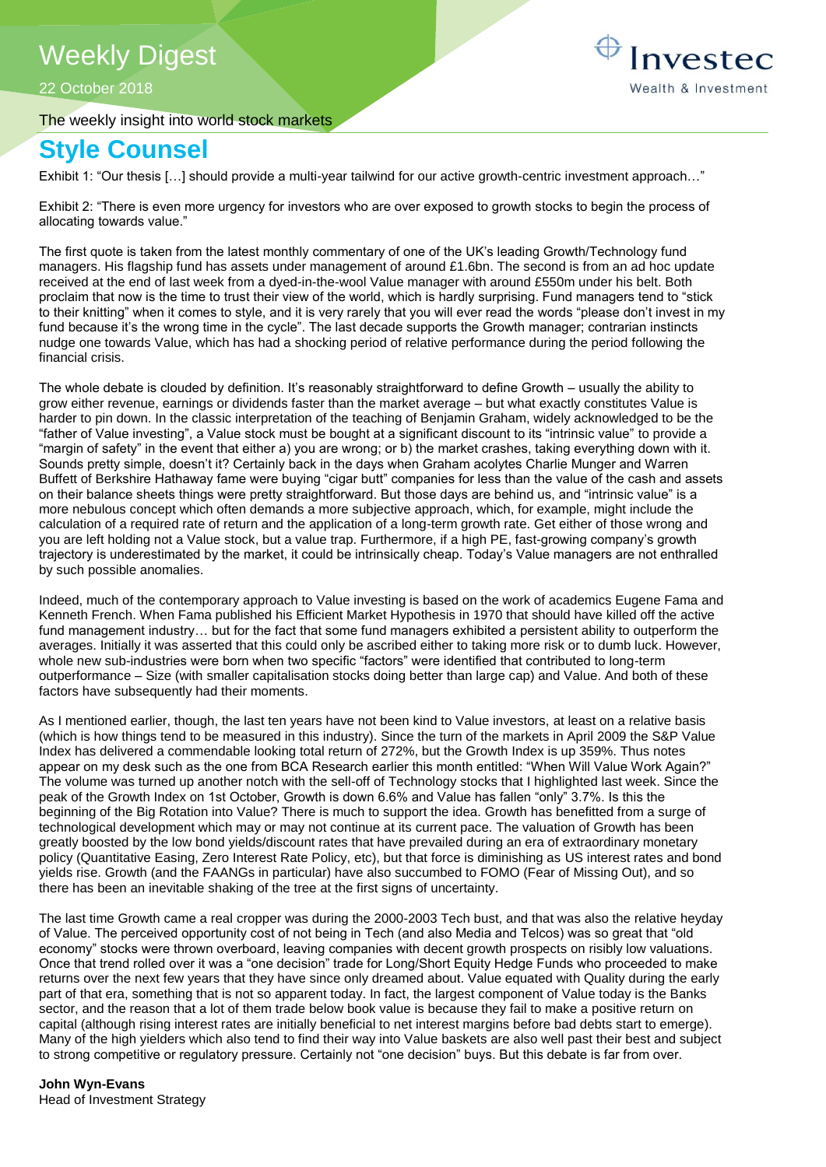# Weekly Digest

22 October 2018

The weekly insight into world stock markets



# **Style Counsel**

Exhibit 1: "Our thesis […] should provide a multi-year tailwind for our active growth-centric investment approach…"

Exhibit 2: "There is even more urgency for investors who are over exposed to growth stocks to begin the process of allocating towards value."

The first quote is taken from the latest monthly commentary of one of the UK's leading Growth/Technology fund managers. His flagship fund has assets under management of around £1.6bn. The second is from an ad hoc update received at the end of last week from a dyed-in-the-wool Value manager with around £550m under his belt. Both proclaim that now is the time to trust their view of the world, which is hardly surprising. Fund managers tend to "stick to their knitting" when it comes to style, and it is very rarely that you will ever read the words "please don't invest in my fund because it's the wrong time in the cycle". The last decade supports the Growth manager; contrarian instincts nudge one towards Value, which has had a shocking period of relative performance during the period following the financial crisis.

The whole debate is clouded by definition. It's reasonably straightforward to define Growth – usually the ability to grow either revenue, earnings or dividends faster than the market average – but what exactly constitutes Value is harder to pin down. In the classic interpretation of the teaching of Benjamin Graham, widely acknowledged to be the "father of Value investing", a Value stock must be bought at a significant discount to its "intrinsic value" to provide a "margin of safety" in the event that either a) you are wrong; or b) the market crashes, taking everything down with it. Sounds pretty simple, doesn't it? Certainly back in the days when Graham acolytes Charlie Munger and Warren Buffett of Berkshire Hathaway fame were buying "cigar butt" companies for less than the value of the cash and assets on their balance sheets things were pretty straightforward. But those days are behind us, and "intrinsic value" is a more nebulous concept which often demands a more subjective approach, which, for example, might include the calculation of a required rate of return and the application of a long-term growth rate. Get either of those wrong and you are left holding not a Value stock, but a value trap. Furthermore, if a high PE, fast-growing company's growth trajectory is underestimated by the market, it could be intrinsically cheap. Today's Value managers are not enthralled by such possible anomalies.

Indeed, much of the contemporary approach to Value investing is based on the work of academics Eugene Fama and Kenneth French. When Fama published his Efficient Market Hypothesis in 1970 that should have killed off the active fund management industry… but for the fact that some fund managers exhibited a persistent ability to outperform the averages. Initially it was asserted that this could only be ascribed either to taking more risk or to dumb luck. However, whole new sub-industries were born when two specific "factors" were identified that contributed to long-term outperformance – Size (with smaller capitalisation stocks doing better than large cap) and Value. And both of these factors have subsequently had their moments.

As I mentioned earlier, though, the last ten years have not been kind to Value investors, at least on a relative basis (which is how things tend to be measured in this industry). Since the turn of the markets in April 2009 the S&P Value Index has delivered a commendable looking total return of 272%, but the Growth Index is up 359%. Thus notes appear on my desk such as the one from BCA Research earlier this month entitled: "When Will Value Work Again?" The volume was turned up another notch with the sell-off of Technology stocks that I highlighted last week. Since the peak of the Growth Index on 1st October, Growth is down 6.6% and Value has fallen "only" 3.7%. Is this the beginning of the Big Rotation into Value? There is much to support the idea. Growth has benefitted from a surge of technological development which may or may not continue at its current pace. The valuation of Growth has been greatly boosted by the low bond yields/discount rates that have prevailed during an era of extraordinary monetary policy (Quantitative Easing, Zero Interest Rate Policy, etc), but that force is diminishing as US interest rates and bond yields rise. Growth (and the FAANGs in particular) have also succumbed to FOMO (Fear of Missing Out), and so there has been an inevitable shaking of the tree at the first signs of uncertainty.

The last time Growth came a real cropper was during the 2000-2003 Tech bust, and that was also the relative heyday of Value. The perceived opportunity cost of not being in Tech (and also Media and Telcos) was so great that "old economy" stocks were thrown overboard, leaving companies with decent growth prospects on risibly low valuations. Once that trend rolled over it was a "one decision" trade for Long/Short Equity Hedge Funds who proceeded to make returns over the next few years that they have since only dreamed about. Value equated with Quality during the early part of that era, something that is not so apparent today. In fact, the largest component of Value today is the Banks sector, and the reason that a lot of them trade below book value is because they fail to make a positive return on capital (although rising interest rates are initially beneficial to net interest margins before bad debts start to emerge). Many of the high yielders which also tend to find their way into Value baskets are also well past their best and subject to strong competitive or regulatory pressure. Certainly not "one decision" buys. But this debate is far from over.

### **John Wyn-Evans**

Head of Investment Strategy